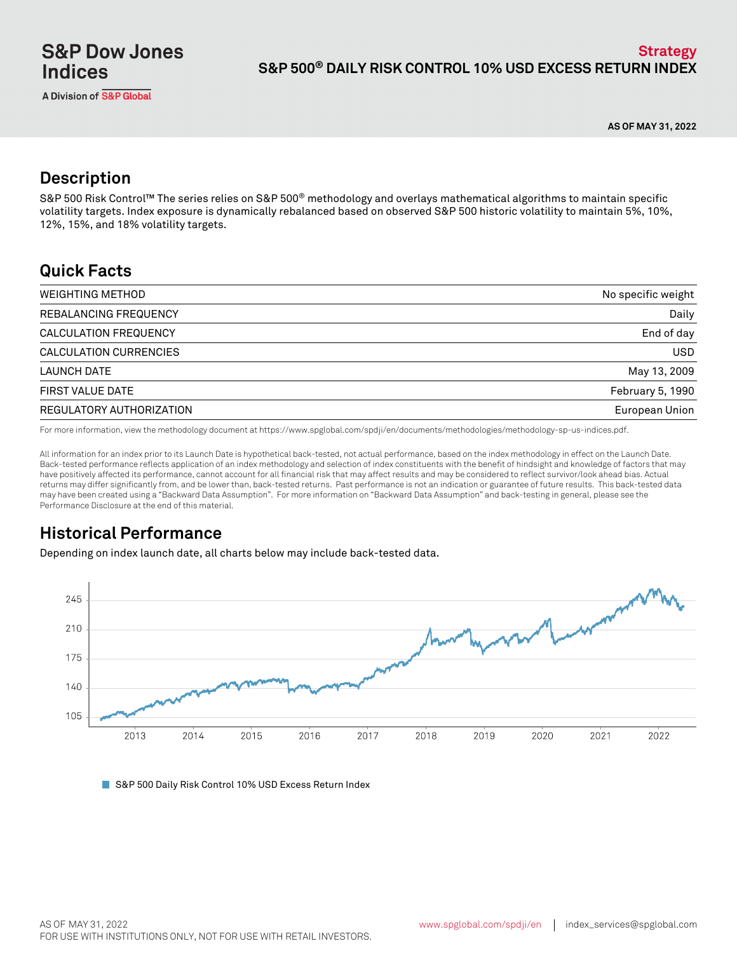**AS OF MAY 31, 2022**

# **Description**

S&P 500 Risk Control™ The series relies on S&P 500® methodology and overlays mathematical algorithms to maintain specific volatility targets. Index exposure is dynamically rebalanced based on observed S&P 500 historic volatility to maintain 5%, 10%, 12%, 15%, and 18% volatility targets.

## **Quick Facts**

| <b>WEIGHTING METHOD</b>  | No specific weight |
|--------------------------|--------------------|
| REBALANCING FREQUENCY    | Daily              |
| CALCULATION FREQUENCY    | End of day         |
| CALCULATION CURRENCIES   | <b>USD</b>         |
| LAUNCH DATE              | May 13, 2009       |
| <b>FIRST VALUE DATE</b>  | February 5, 1990   |
| REGULATORY AUTHORIZATION | European Union     |

For more information, view the methodology document at https://www.spglobal.com/spdji/en/documents/methodologies/methodology-sp-us-indices.pdf.

All information for an index prior to its Launch Date is hypothetical back-tested, not actual performance, based on the index methodology in effect on the Launch Date. Back-tested performance reflects application of an index methodology and selection of index constituents with the benefit of hindsight and knowledge of factors that may have positively affected its performance, cannot account for all financial risk that may affect results and may be considered to reflect survivor/look ahead bias. Actual returns may differ significantly from, and be lower than, back-tested returns. Past performance is not an indication or guarantee of future results. This back-tested data may have been created using a "Backward Data Assumption". For more information on "Backward Data Assumption" and back-testing in general, please see the Performance Disclosure at the end of this material.

# **Historical Performance**

Depending on index launch date, all charts below may include back-tested data.



■ S&P 500 Daily Risk Control 10% USD Excess Return Index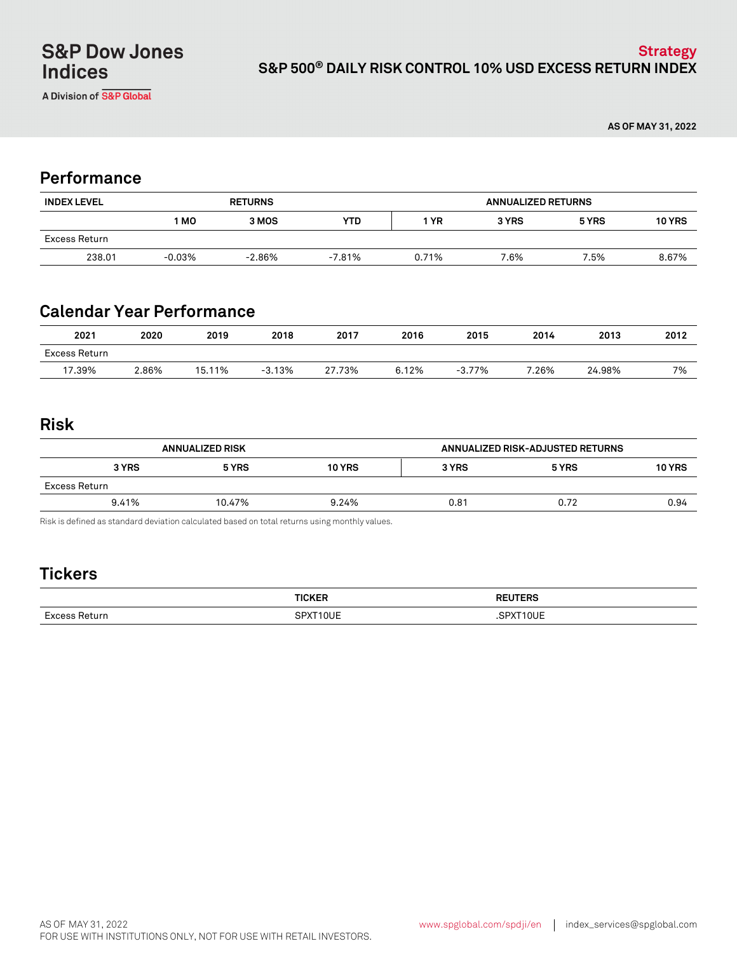A Division of S&P Global

**AS OF MAY 31, 2022**

## **Performance**

| <b>INDEX LEVEL</b> | <b>RETURNS</b> |           |        | <b>ANNUALIZED RETURNS</b> |       |       |               |
|--------------------|----------------|-----------|--------|---------------------------|-------|-------|---------------|
|                    | 1 MO           | 3 MOS     | YTD.   | ∣ YR                      | 3 YRS | 5 YRS | <b>10 YRS</b> |
| Excess Return      |                |           |        |                           |       |       |               |
| 238.01             | $-0.03%$       | $-2.86\%$ | -7.81% | 0.71%                     | 7.6%  | 7.5%  | 8.67%         |

# **Calendar Year Performance**

| 2021          | 2020  | 2019   | 2018     | 2017   | 2016  | 2015     | 2014  | 2013   | 2012 |
|---------------|-------|--------|----------|--------|-------|----------|-------|--------|------|
| Excess Return |       |        |          |        |       |          |       |        |      |
| 17.39%        | 2.86% | 15.11% | $-3.13%$ | 27.73% | 6.12% | $-3.77%$ | 7.26% | 24.98% | 7%   |

### **Risk**

| <b>ANNUALIZED RISK</b> |        |               | ANNUALIZED RISK-ADJUSTED RETURNS |       |               |
|------------------------|--------|---------------|----------------------------------|-------|---------------|
| 3 YRS                  | 5 YRS  | <b>10 YRS</b> | 3 YRS                            | 5 YRS | <b>10 YRS</b> |
| Excess Return          |        |               |                                  |       |               |
| 9.41%                  | 10.47% | 9.24%         | 0.81                             | 0.72  | 0.94          |

Risk is defined as standard deviation calculated based on total returns using monthly values.

# **Tickers**

|                          | -----          |               |
|--------------------------|----------------|---------------|
|                          |                |               |
| $\overline{\phantom{0}}$ | ┓ <del>៶</del> | $\sim$ $\sim$ |
|                          |                |               |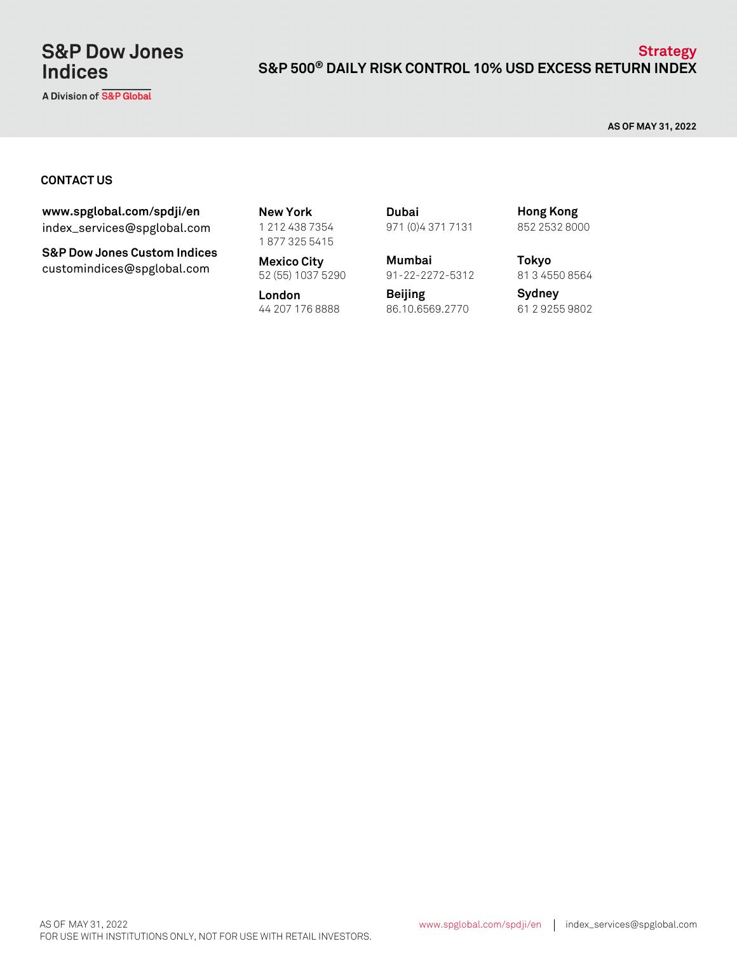# **S&P Dow Jones Indices**

A Division of S&P Global

### **S&P 500® DAILY RISK CONTROL 10% USD EXCESS RETURN INDEX Strategy**

**AS OF MAY 31, 2022**

#### **CONTACT US**

index\_services@spglobal.com **www.spglobal.com/spdji/en New York**

**S&P Dow Jones Custom Indices** customindices@spglobal.com **Mexico City**<br>52 (55) 1037 5290

1 212 438 7354 1 877 325 5415

**Mexico City Mumbai**

**London** 44 207 176 8888 61 2 9255 9802 86.10.6569.2770

971 (0)4 371 7131 **Dubai**

91-22-2272-5312

**Beijing**

852 2532 8000 **Hong Kong**

**Tokyo** 81 3 4550 8564

**Sydney**